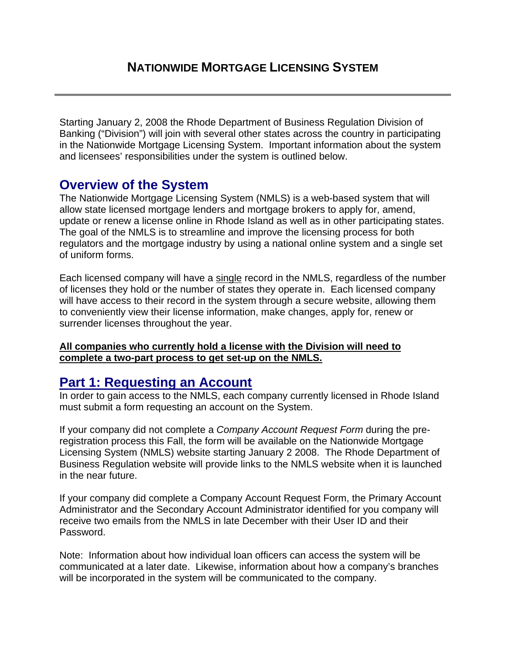Starting January 2, 2008 the Rhode Department of Business Regulation Division of Banking ("Division") will join with several other states across the country in participating in the Nationwide Mortgage Licensing System. Important information about the system and licensees' responsibilities under the system is outlined below.

### **Overview of the System**

The Nationwide Mortgage Licensing System (NMLS) is a web-based system that will allow state licensed mortgage lenders and mortgage brokers to apply for, amend, update or renew a license online in Rhode Island as well as in other participating states. The goal of the NMLS is to streamline and improve the licensing process for both regulators and the mortgage industry by using a national online system and a single set of uniform forms.

Each licensed company will have a single record in the NMLS, regardless of the number of licenses they hold or the number of states they operate in. Each licensed company will have access to their record in the system through a secure website, allowing them to conveniently view their license information, make changes, apply for, renew or surrender licenses throughout the year.

#### **All companies who currently hold a license with the Division will need to complete a two-part process to get set-up on the NMLS.**

## **Part 1: Requesting an Account**

In order to gain access to the NMLS, each company currently licensed in Rhode Island must submit a form requesting an account on the System.

If your company did not complete a *Company Account Request Form* during the preregistration process this Fall, the form will be available on the Nationwide Mortgage Licensing System (NMLS) website starting January 2 2008. The Rhode Department of Business Regulation website will provide links to the NMLS website when it is launched in the near future.

If your company did complete a Company Account Request Form, the Primary Account Administrator and the Secondary Account Administrator identified for you company will receive two emails from the NMLS in late December with their User ID and their Password.

Note: Information about how individual loan officers can access the system will be communicated at a later date. Likewise, information about how a company's branches will be incorporated in the system will be communicated to the company.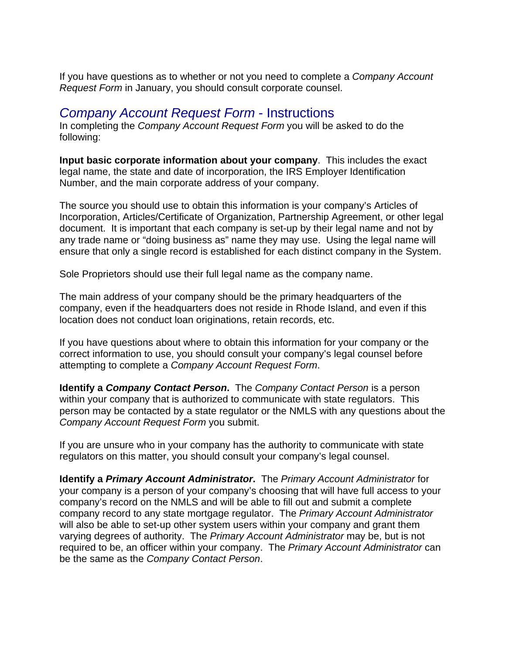If you have questions as to whether or not you need to complete a *Company Account Request Form* in January, you should consult corporate counsel.

### *Company Account Request Form* - Instructions

In completing the *Company Account Request Form* you will be asked to do the following:

**Input basic corporate information about your company**. This includes the exact legal name, the state and date of incorporation, the IRS Employer Identification Number, and the main corporate address of your company.

The source you should use to obtain this information is your company's Articles of Incorporation, Articles/Certificate of Organization, Partnership Agreement, or other legal document. It is important that each company is set-up by their legal name and not by any trade name or "doing business as" name they may use. Using the legal name will ensure that only a single record is established for each distinct company in the System.

Sole Proprietors should use their full legal name as the company name.

The main address of your company should be the primary headquarters of the company, even if the headquarters does not reside in Rhode Island, and even if this location does not conduct loan originations, retain records, etc.

If you have questions about where to obtain this information for your company or the correct information to use, you should consult your company's legal counsel before attempting to complete a *Company Account Request Form*.

**Identify a** *Company Contact Person***.** The *Company Contact Person* is a person within your company that is authorized to communicate with state regulators. This person may be contacted by a state regulator or the NMLS with any questions about the *Company Account Request Form* you submit.

If you are unsure who in your company has the authority to communicate with state regulators on this matter, you should consult your company's legal counsel.

**Identify a** *Primary Account Administrator***.** The *Primary Account Administrator* for your company is a person of your company's choosing that will have full access to your company's record on the NMLS and will be able to fill out and submit a complete company record to any state mortgage regulator. The *Primary Account Administrator* will also be able to set-up other system users within your company and grant them varying degrees of authority. The *Primary Account Administrator* may be, but is not required to be, an officer within your company. The *Primary Account Administrator* can be the same as the *Company Contact Person*.